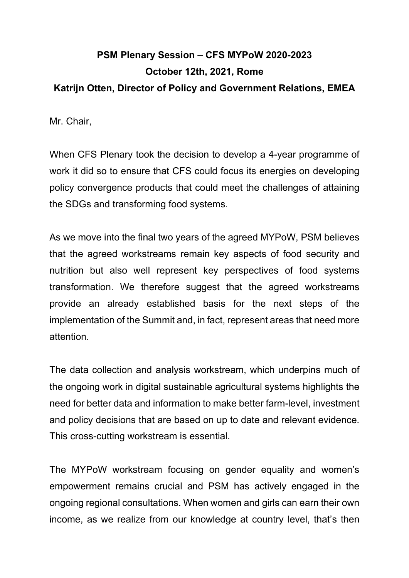## **PSM Plenary Session – CFS MYPoW 2020-2023 October 12th, 2021, Rome Katrijn Otten, Director of Policy and Government Relations, EMEA**

Mr. Chair,

When CFS Plenary took the decision to develop a 4-year programme of work it did so to ensure that CFS could focus its energies on developing policy convergence products that could meet the challenges of attaining the SDGs and transforming food systems.

As we move into the final two years of the agreed MYPoW, PSM believes that the agreed workstreams remain key aspects of food security and nutrition but also well represent key perspectives of food systems transformation. We therefore suggest that the agreed workstreams provide an already established basis for the next steps of the implementation of the Summit and, in fact, represent areas that need more attention.

The data collection and analysis workstream, which underpins much of the ongoing work in digital sustainable agricultural systems highlights the need for better data and information to make better farm-level, investment and policy decisions that are based on up to date and relevant evidence. This cross-cutting workstream is essential.

The MYPoW workstream focusing on gender equality and women's empowerment remains crucial and PSM has actively engaged in the ongoing regional consultations. When women and girls can earn their own income, as we realize from our knowledge at country level, that's then